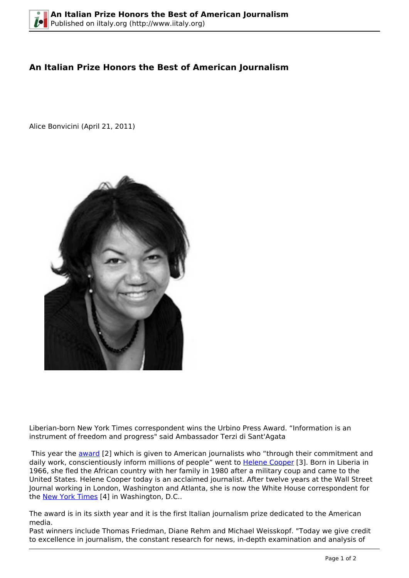## **An Italian Prize Honors the Best of American Journalism**

Alice Bonvicini (April 21, 2011)



Liberian-born New York Times correspondent wins the Urbino Press Award. "Information is an instrument of freedom and progress" said Ambassador Terzi di Sant'Agata

This year the **award** [2] which is given to American journalists who "through their commitment and daily work, conscientiously inform millions of people" went to [Helene Cooper](http://en.wikipedia.org/wiki/Helene_Cooper) [3]. Born in Liberia in 1966, she fled the African country with her family in 1980 after a military coup and came to the United States. Helene Cooper today is an acclaimed journalist. After twelve years at the Wall Street Journal working in London, Washington and Atlanta, she is now the White House correspondent for the [New York Times](http://www.nytimes.com/) [4] in Washington, D.C..

The award is in its sixth year and it is the first Italian journalism prize dedicated to the American media.

Past winners include Thomas Friedman, Diane Rehm and Michael Weisskopf. "Today we give credit to excellence in journalism, the constant research for news, in-depth examination and analysis of